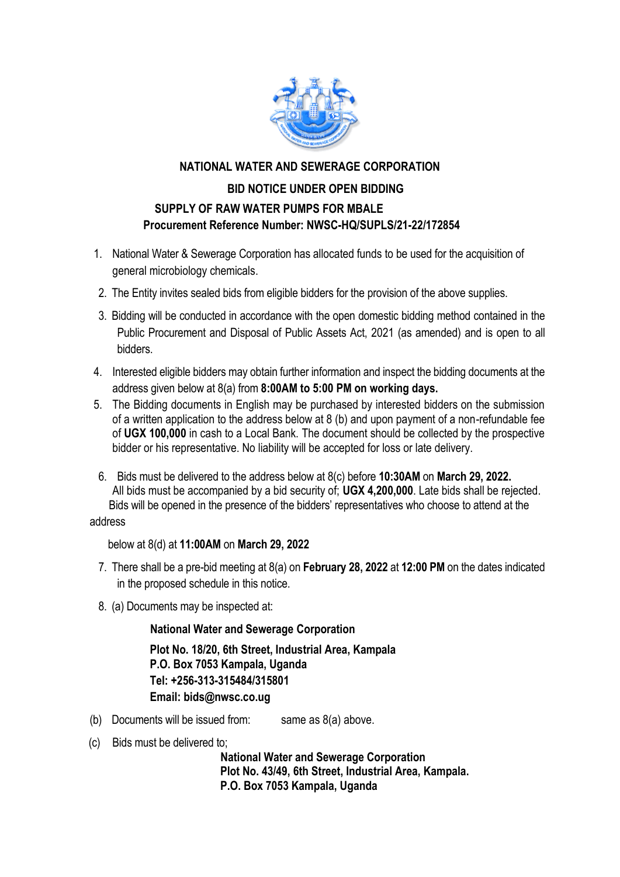

#### **NATIONAL WATER AND SEWERAGE CORPORATION**

## **BID NOTICE UNDER OPEN BIDDING SUPPLY OF RAW WATER PUMPS FOR MBALE Procurement Reference Number: NWSC-HQ/SUPLS/21-22/172854**

- 1. National Water & Sewerage Corporation has allocated funds to be used for the acquisition of general microbiology chemicals.
- 2. The Entity invites sealed bids from eligible bidders for the provision of the above supplies.
- 3. Bidding will be conducted in accordance with the open domestic bidding method contained in the Public Procurement and Disposal of Public Assets Act, 2021 (as amended) and is open to all bidders.
- 4. Interested eligible bidders may obtain further information and inspect the bidding documents at the address given below at 8(a) from **8:00AM to 5:00 PM on working days.**
- 5. The Bidding documents in English may be purchased by interested bidders on the submission of a written application to the address below at 8 (b) and upon payment of a non-refundable fee of **UGX 100,000** in cash to a Local Bank. The document should be collected by the prospective bidder or his representative. No liability will be accepted for loss or late delivery.
- 6. Bids must be delivered to the address below at 8(c) before **10:30AM** on **March 29, 2022.** All bids must be accompanied by a bid security of; **UGX 4,200,000**. Late bids shall be rejected. Bids will be opened in the presence of the bidders' representatives who choose to attend at the

#### address

below at 8(d) at **11:00AM** on **March 29, 2022**

- 7. There shall be a pre-bid meeting at 8(a) on **February 28, 2022** at **12:00 PM** on the dates indicated in the proposed schedule in this notice.
- 8. (a) Documents may be inspected at:

#### **National Water and Sewerage Corporation**

**Plot No. 18/20, 6th Street, Industrial Area, Kampala P.O. Box 7053 Kampala, Uganda Tel: +256-313-315484/315801 Email: bids@nwsc.co.ug** 

- (b) Documents will be issued from: same as  $8(a)$  above.
- (c) Bids must be delivered to;

 **National Water and Sewerage Corporation Plot No. 43/49, 6th Street, Industrial Area, Kampala. P.O. Box 7053 Kampala, Uganda**